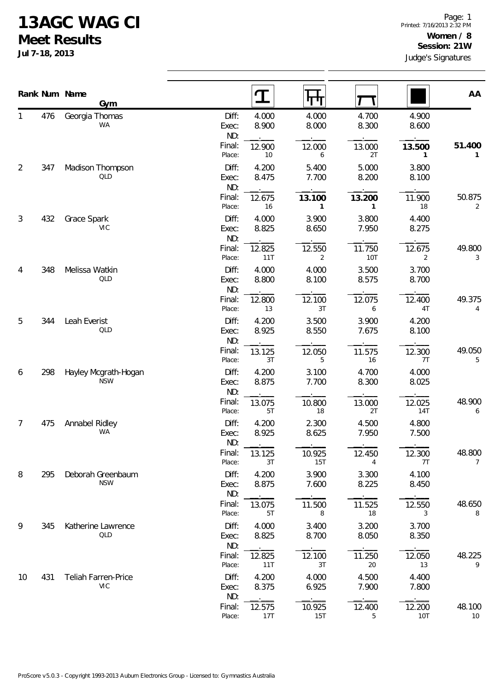## **13AGC WAG CI**

**Meet Results**

**Jul 7-18, 2013**

|                |     | Rank Num Name<br>Gym               |                       |                | पाण                      |                      |                          | AA           |  |
|----------------|-----|------------------------------------|-----------------------|----------------|--------------------------|----------------------|--------------------------|--------------|--|
| 1              | 476 | Georgia Thomas<br><b>WA</b>        | Diff:<br>Exec:<br>ND: | 4.000<br>8.900 | 4.000<br>8.000           | 4.700<br>8.300       | 4.900<br>8.600           |              |  |
|                |     |                                    | Final:<br>Place:      | 12.900<br>$10$ | 12.000<br>6              | 13.000<br>2T         | 13.500<br>1              | 51.400<br>1  |  |
| $\overline{2}$ | 347 | Madison Thompson<br>QLD            | Diff:<br>Exec:<br>ND: | 4.200<br>8.475 | 5.400<br>7.700           | 5.000<br>8.200       | 3.800<br>8.100           |              |  |
|                |     |                                    | Final:<br>Place:      | 12.675<br>16   | 13.100<br>1              | 13.200<br>1          | 11.900<br>18             | 50.875<br>2  |  |
| 3              | 432 | Grace Spark<br><b>VIC</b>          | Diff:<br>Exec:<br>ND: | 4.000<br>8.825 | 3.900<br>8.650           | 3.800<br>7.950       | 4.400<br>8.275           |              |  |
|                |     |                                    | Final:<br>Place:      | 12.825<br>11T  | 12.550<br>$\overline{2}$ | 11.750<br><b>10T</b> | 12.675<br>$\overline{2}$ | 49.800<br>3  |  |
| 4              | 348 | Melissa Watkin<br>QLD              | Diff:<br>Exec:<br>ND: | 4.000<br>8.800 | 4.000<br>8.100           | 3.500<br>8.575       | 3.700<br>8.700           |              |  |
|                |     |                                    | Final:<br>Place:      | 12.800<br>13   | 12.100<br>3T             | 12.075<br>6          | 12.400<br>4T             | 49.375<br>4  |  |
| 5              | 344 | Leah Everist<br>QLD                | Diff:<br>Exec:<br>ND: | 4.200<br>8.925 | 3.500<br>8.550           | 3.900<br>7.675       | 4.200<br>8.100           |              |  |
|                |     |                                    | Final:<br>Place:      | 13.125<br>3T   | 12.050<br>5              | 11.575<br>16         | 12.300<br>7T             | 49.050<br>5  |  |
| 6              | 298 | Hayley Mcgrath-Hogan<br><b>NSW</b> | Diff:<br>Exec:<br>ND: | 4.200<br>8.875 | 3.100<br>7.700           | 4.700<br>8.300       | 4.000<br>8.025           |              |  |
|                |     |                                    | Final:<br>Place:      | 13.075<br>5T   | 10.800<br>$18\,$         | 13.000<br>2T         | 12.025<br><b>14T</b>     | 48.900<br>6  |  |
| 7              | 475 | Annabel Ridley<br>WA               | Diff:<br>Exec:<br>ND: | 4.200<br>8.925 | 2.300<br>8.625           | 4.500<br>7.950       | 4.800<br>7.500           |              |  |
|                |     |                                    | Final:<br>Place:      | 13.125<br>3T   | 10.925<br><b>15T</b>     | 12.450<br>4          | 12.300<br>7T             | 48.800<br>7  |  |
| 8              | 295 | Deborah Greenbaum<br><b>NSW</b>    | Diff:<br>Exec:<br>ND: | 4.200<br>8.875 | 3.900<br>7.600           | 3.300<br>8.225       | 4.100<br>8.450           |              |  |
|                |     |                                    | Final:<br>Place:      | 13.075<br>5T   | 11.500<br>8              | 11.525<br>18         | 12.550<br>3              | 48.650<br>8  |  |
| 9              | 345 | Katherine Lawrence<br>QLD          | Diff:<br>Exec:<br>ND: | 4.000<br>8.825 | 3.400<br>8.700           | 3.200<br>8.050       | 3.700<br>8.350           |              |  |
|                |     |                                    | Final:<br>Place:      | 12.825<br>11T  | 12.100<br>3T             | 11.250<br>20         | 12.050<br>13             | 48.225<br>9  |  |
| 10             | 431 | Teliah Farren-Price<br><b>VIC</b>  | Diff:<br>Exec:<br>ND: | 4.200<br>8.375 | 4.000<br>6.925           | 4.500<br>7.900       | 4.400<br>7.800           |              |  |
|                |     |                                    | Final:<br>Place:      | 12.575<br>17T  | 10.925<br><b>15T</b>     | 12.400<br>5          | 12.200<br>10T            | 48.100<br>10 |  |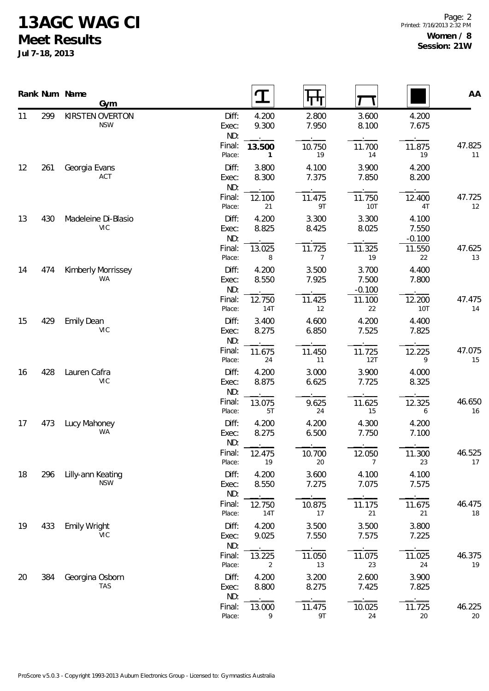## **13AGC WAG CI**

**Meet Results**

**Jul 7-18, 2013**

|    |     | Rank Num Name<br><b>Gym</b>       |                       | $\bf{T}$       | पा                       |                            |                            | AA           |
|----|-----|-----------------------------------|-----------------------|----------------|--------------------------|----------------------------|----------------------------|--------------|
| 11 | 299 | KIRSTEN OVERTON<br><b>NSW</b>     | Diff:<br>Exec:<br>ND: | 4.200<br>9.300 | 2.800<br>7.950           | 3.600<br>8.100             | 4.200<br>7.675             |              |
|    |     |                                   | Final:<br>Place:      | 13.500<br>1    | 10.750<br>19             | 11.700<br>14               | 11.875<br>19               | 47.825<br>11 |
| 12 | 261 | Georgia Evans<br>ACT              | Diff:<br>Exec:<br>ND: | 3.800<br>8.300 | 4.100<br>7.375           | 3.900<br>7.850             | 4.200<br>8.200             |              |
|    |     |                                   | Final:<br>Place:      | 12.100<br>21   | 11.475<br>9T             | 11.750<br>10T              | 12.400<br>4T               | 47.725<br>12 |
| 13 | 430 | Madeleine Di-Blasio<br><b>VIC</b> | Diff:<br>Exec:<br>ND: | 4.200<br>8.825 | 3.300<br>8.425           | 3.300<br>8.025             | 4.100<br>7.550<br>$-0.100$ |              |
|    |     |                                   | Final:<br>Place:      | 13.025<br>8    | 11.725<br>$\overline{7}$ | 11.325<br>19               | 11.550<br>22               | 47.625<br>13 |
| 14 | 474 | Kimberly Morrissey<br><b>WA</b>   | Diff:<br>Exec:<br>ND: | 4.200<br>8.550 | 3.500<br>7.925           | 3.700<br>7.500<br>$-0.100$ | 4.400<br>7.800             |              |
|    |     |                                   | Final:<br>Place:      | 12.750<br>14T  | 11.425<br>12             | 11.100<br>22               | 12.200<br>10T              | 47.475<br>14 |
| 15 | 429 | <b>Emily Dean</b><br>VIC          | Diff:<br>Exec:<br>ND: | 3.400<br>8.275 | 4.600<br>6.850           | 4.200<br>7.525             | 4.400<br>7.825             |              |
|    |     |                                   | Final:<br>Place:      | 11.675<br>24   | 11.450<br>11             | 11.725<br>12T              | 12.225<br>9                | 47.075<br>15 |
| 16 | 428 | Lauren Cafra<br>VIC               | Diff:<br>Exec:<br>ND: | 4.200<br>8.875 | 3.000<br>6.625           | 3.900<br>7.725             | 4.000<br>8.325             |              |
|    |     |                                   | Final:<br>Place:      | 13.075<br>5T   | 9.625<br>24              | 11.625<br>15               | 12.325<br>6                | 46.650<br>16 |
| 17 | 473 | Lucy Mahoney<br>WA                | Diff:<br>Exec:<br>ND: | 4.200<br>8.275 | 4.200<br>6.500           | 4.300<br>7.750             | 4.200<br>7.100             |              |
|    |     |                                   | Final:<br>Place:      | 12.475<br>19   | 10.700<br>20             | 12.050<br>7                | 11.300<br>23               | 46.525<br>17 |
| 18 | 296 | Lilly-ann Keating<br><b>NSW</b>   | Diff:<br>Exec:<br>ND: | 4.200<br>8.550 | 3.600<br>7.275           | 4.100<br>7.075             | 4.100<br>7.575             |              |
|    |     |                                   | Final:<br>Place:      | 12.750<br>14T  | 10.875<br>17             | 11.175<br>21               | 11.675<br>21               | 46.475<br>18 |
| 19 | 433 | Emily Wright<br>VIC.              | Diff:<br>Exec:<br>ND: | 4.200<br>9.025 | 3.500<br>7.550           | 3.500<br>7.575             | 3.800<br>7.225             |              |
|    |     |                                   | Final:<br>Place:      | 13.225<br>2    | 11.050<br>13             | 11.075<br>23               | 11.025<br>24               | 46.375<br>19 |
| 20 | 384 | Georgina Osborn<br>TAS            | Diff:<br>Exec:<br>ND: | 4.200<br>8.800 | 3.200<br>8.275           | 2.600<br>7.425             | 3.900<br>7.825             |              |
|    |     |                                   | Final:<br>Place:      | 13.000<br>9    | 11.475<br>9T             | 10.025<br>24               | 11.725<br>20               | 46.225<br>20 |